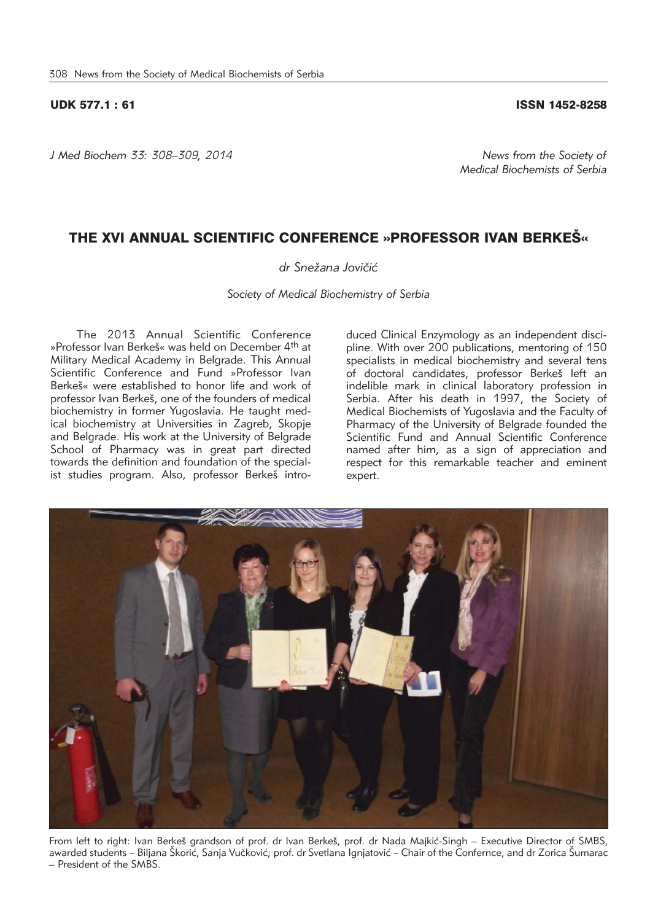### UDK 577.1 : 61 ISSN 1452-8258

*J Med Biochem 33: 308–309, 2014 News from the Society of* 

*Medical Biochemists of Serbia*

## THE XVI ANNUAL SCIENTIFIC CONFERENCE »PROFESSOR IVAN BERKEŠ«

### dr Snežana Jovičić

*Society of Medical Biochemistry of Serbia* 

The 2013 Annual Scientific Conference »Professor Ivan Berkeš« was held on December 4<sup>th</sup> at Military Medical Academy in Belgrade. This Annual Scientific Conference and Fund »Professor Ivan Berke<sub>š«</sub> were established to honor life and work of professor Ivan Berkeš, one of the founders of medical biochemistry in former Yugoslavia. He taught medical biochemistry at Universities in Zagreb, Skopje and Belgrade. His work at the University of Belgrade School of Pharmacy was in great part directed towards the definition and foundation of the specialist studies program. Also, professor Berkeš intro-

duced Clinical Enzymology as an independent discipline. With over 200 publications, mentoring of 150 specialists in medical biochemistry and several tens of doctoral candidates, professor Berkeš left an indelible mark in clinical laboratory profession in Serbia. After his death in 1997, the Society of Medical Biochemists of Yugoslavia and the Faculty of Pharmacy of the University of Belgrade founded the Scientific Fund and Annual Scientific Conference named after him, as a sign of appreciation and respect for this remarkable teacher and eminent expert.



From left to right: Ivan Berkeš grandson of prof. dr Ivan Berkeš, prof. dr Nada Majkić-Singh – Executive Director of SMBS, awarded students – Biljana Škorić, Sanja Vučković; prof. dr Svetlana Ignjatović – Chair of the Confernce, and dr Zorica Šumarac – President of the SMBS.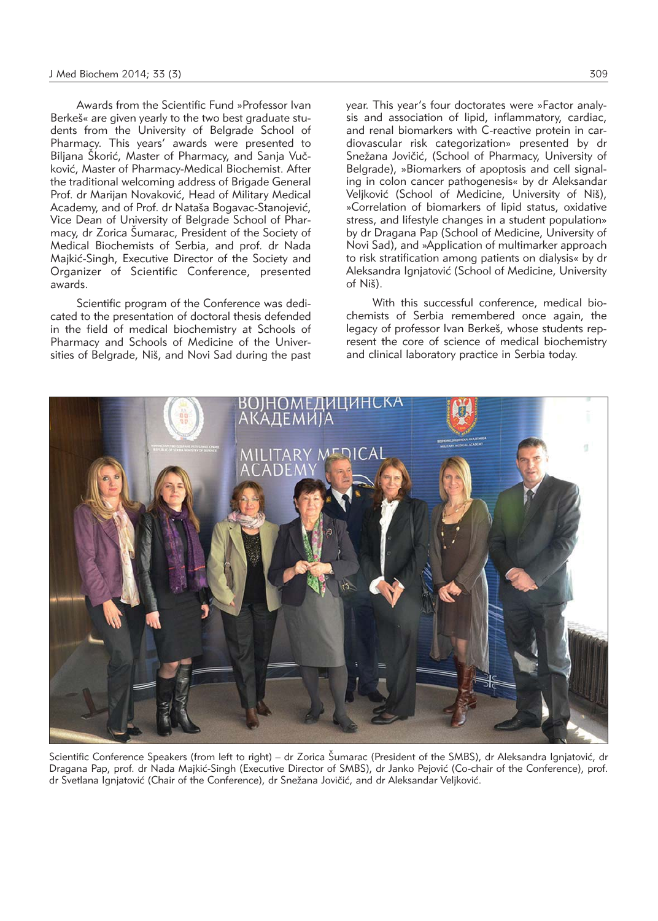Awards from the Scientific Fund »Professor Ivan Berkeš« are given yearly to the two best graduate students from the University of Belgrade School of Pharmacy. This years' awards were presented to Biljana Škorić, Master of Pharmacy, and Sanja Vučković, Master of Pharmacy-Medical Biochemist. After the traditional welcoming address of Brigade General Prof. dr Marijan Novaković, Head of Military Medical Academy, and of Prof. dr Nataša Bogavac-Stanojević, Vice Dean of University of Belgrade School of Phar macy, dr Zorica Šumarac, President of the Society of Medical Biochemists of Serbia, and prof. dr Nada Majkić-Singh, Executive Director of the Society and Organizer of Scientific Conference, presented awards.

Scientific program of the Conference was dedicated to the presentation of doctoral thesis defended in the field of medical biochemistry at Schools of Pharmacy and Schools of Medicine of the Universities of Belgrade, Niš, and Novi Sad during the past year. This year's four doctorates were »Factor analysis and association of lipid, inflammatory, cardiac, and renal biomarkers with C-reactive protein in cardiovascular risk categorization» presented by dr Snežana Jovičić, (School of Pharmacy, University of Belgrade), »Biomarkers of apoptosis and cell signaling in colon cancer pathogenesis« by dr Aleksandar Veljković (School of Medicine, University of Niš), »Correlation of biomarkers of lipid status, oxidative stress, and lifestyle changes in a student population» by dr Dragana Pap (School of Medicine, University of Novi Sad), and »Application of multimarker approach to risk stratification among patients on dialysis« by dr Aleksandra Ignjatović (School of Medicine, University of Niš).

With this successful conference, medical biochemists of Serbia remembered once again, the legacy of professor Ivan Berkeš, whose students represent the core of science of medical biochemistry and clinical laboratory practice in Serbia today.



Scientific Conference Speakers (from left to right) – dr Zorica Šumarac (President of the SMBS), dr Aleksandra Ignjatović, dr Dragana Pap, prof. dr Nada Majkić-Singh (Executive Director of SMBS), dr Janko Pejović (Co-chair of the Conference), prof. dr Svetlana Ignjatović (Chair of the Conference), dr Snežana Jovičić, and dr Aleksandar Veljković.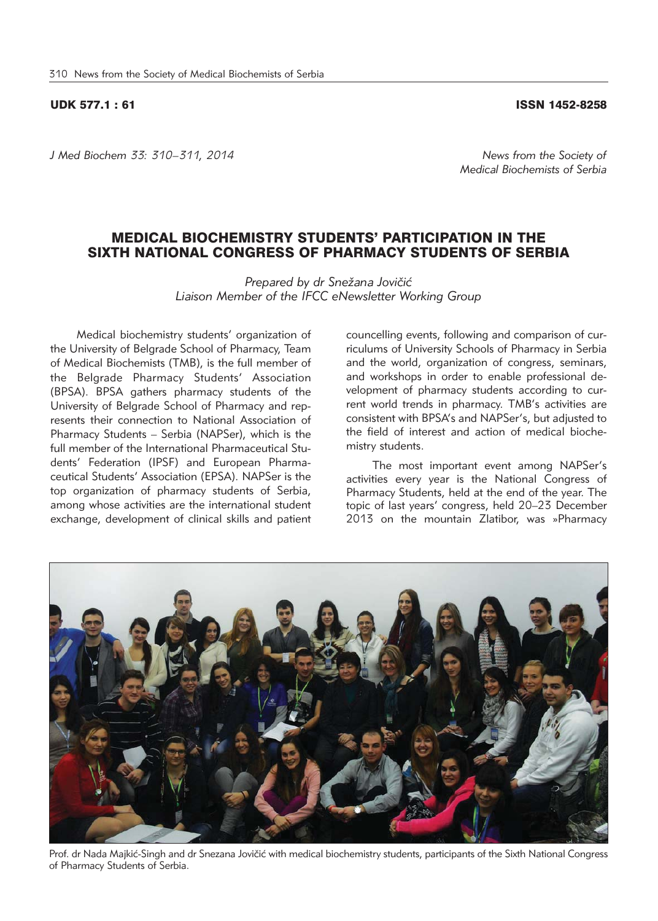### UDK 577.1 : 61 ISSN 1452-8258

*J Med Biochem 33: 310–311, 2014 News from the Society of* 

# MEDICAL BIOCHEMISTRY STUDENTS' PARTICIPATION IN THE SIXTH NATIONAL CONGRESS OF PHARMACY STUDENTS OF SERBIA

Prepared by dr Snežana Jovičić *Liaison Member of the IFCC eNewsletter Working Group*

Medical biochemistry students' organization of the University of Belgrade School of Pharmacy, Team of Medical Biochemists (TMB), is the full member of the Belgrade Pharmacy Students' Association (BPSA). BPSA gathers pharmacy students of the University of Belgrade School of Pharmacy and represents their connection to National Association of Pharmacy Students – Serbia (NAPSer), which is the full member of the International Pharmaceutical Students' Federation (IPSF) and European Pharmaceutical Students' Association (EPSA). NAPSer is the top organization of pharmacy students of Serbia, among whose activities are the international student exchange, development of clinical skills and patient

councelling events, following and comparison of curriculums of University Schools of Pharmacy in Serbia and the world, organization of congress, seminars, and workshops in order to enable professional development of pharmacy students according to current world trends in pharmacy. TMB's activities are consistent with BPSA's and NAPSer's, but adjusted to the field of interest and action of medical biochemistry students.

The most important event among NAPSer's activities every year is the National Congress of Pharmacy Students, held at the end of the year. The topic of last years' congress, held 20–23 December 2013 on the mountain Zlatibor, was »Pharmacy

Prof. dr Nada Majkić-Singh and dr Snezana Jovičić with medical biochemistry students, participants of the Sixth National Congress of Pharmacy Students of Serbia.



*Medical Biochemists of Serbia*